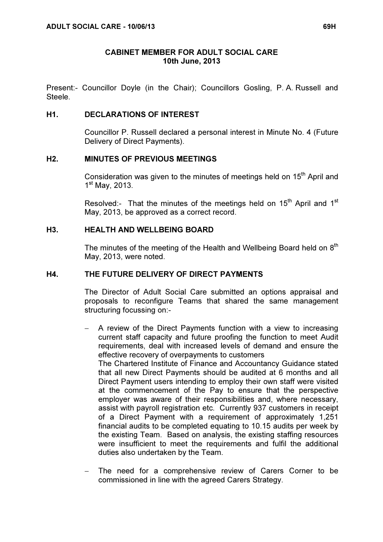### CABINET MEMBER FOR ADULT SOCIAL CARE 10th June, 2013

Present:- Councillor Doyle (in the Chair); Councillors Gosling, P. A. Russell and Steele.

### H1. DECLARATIONS OF INTEREST

 Councillor P. Russell declared a personal interest in Minute No. 4 (Future Delivery of Direct Payments).

### H2. MINUTES OF PREVIOUS MEETINGS

Consideration was given to the minutes of meetings held on 15<sup>th</sup> April and 1 st May, 2013.

Resolved:- That the minutes of the meetings held on  $15<sup>th</sup>$  April and  $1<sup>st</sup>$ May, 2013, be approved as a correct record.

### H3. HEALTH AND WELLBEING BOARD

The minutes of the meeting of the Health and Wellbeing Board held on  $8<sup>th</sup>$ May, 2013, were noted.

### H4. THE FUTURE DELIVERY OF DIRECT PAYMENTS

 The Director of Adult Social Care submitted an options appraisal and proposals to reconfigure Teams that shared the same management structuring focussing on:-

− A review of the Direct Payments function with a view to increasing current staff capacity and future proofing the function to meet Audit requirements, deal with increased levels of demand and ensure the effective recovery of overpayments to customers

The Chartered Institute of Finance and Accountancy Guidance stated that all new Direct Payments should be audited at 6 months and all Direct Payment users intending to employ their own staff were visited at the commencement of the Pay to ensure that the perspective employer was aware of their responsibilities and, where necessary, assist with payroll registration etc. Currently 937 customers in receipt of a Direct Payment with a requirement of approximately 1,251 financial audits to be completed equating to 10.15 audits per week by the existing Team. Based on analysis, the existing staffing resources were insufficient to meet the requirements and fulfil the additional duties also undertaken by the Team.

The need for a comprehensive review of Carers Corner to be commissioned in line with the agreed Carers Strategy.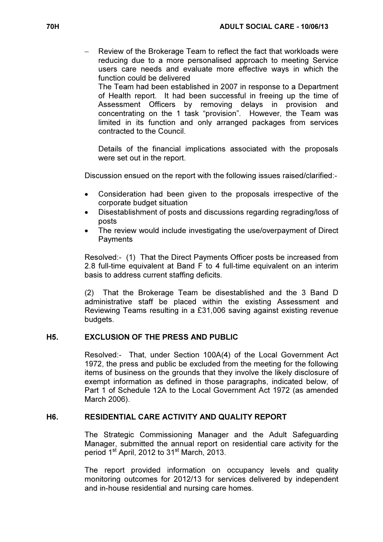Review of the Brokerage Team to reflect the fact that workloads were reducing due to a more personalised approach to meeting Service users care needs and evaluate more effective ways in which the function could be delivered

The Team had been established in 2007 in response to a Department of Health report. It had been successful in freeing up the time of Assessment Officers by removing delays in provision and concentrating on the 1 task "provision". However, the Team was limited in its function and only arranged packages from services contracted to the Council.

Details of the financial implications associated with the proposals were set out in the report.

Discussion ensued on the report with the following issues raised/clarified:-

- Consideration had been given to the proposals irrespective of the corporate budget situation
- Disestablishment of posts and discussions regarding regrading/loss of posts
- The review would include investigating the use/overpayment of Direct **Payments**

Resolved:- (1) That the Direct Payments Officer posts be increased from 2.8 full-time equivalent at Band F to 4 full-time equivalent on an interim basis to address current staffing deficits.

(2) That the Brokerage Team be disestablished and the 3 Band D administrative staff be placed within the existing Assessment and Reviewing Teams resulting in a £31,006 saving against existing revenue budgets.

## H5. EXCLUSION OF THE PRESS AND PUBLIC

 Resolved:- That, under Section 100A(4) of the Local Government Act 1972, the press and public be excluded from the meeting for the following items of business on the grounds that they involve the likely disclosure of exempt information as defined in those paragraphs, indicated below, of Part 1 of Schedule 12A to the Local Government Act 1972 (as amended March 2006).

### H6. RESIDENTIAL CARE ACTIVITY AND QUALITY REPORT

 The Strategic Commissioning Manager and the Adult Safeguarding Manager, submitted the annual report on residential care activity for the period 1<sup>st</sup> April, 2012 to 31<sup>st</sup> March, 2013.

The report provided information on occupancy levels and quality monitoring outcomes for 2012/13 for services delivered by independent and in-house residential and nursing care homes.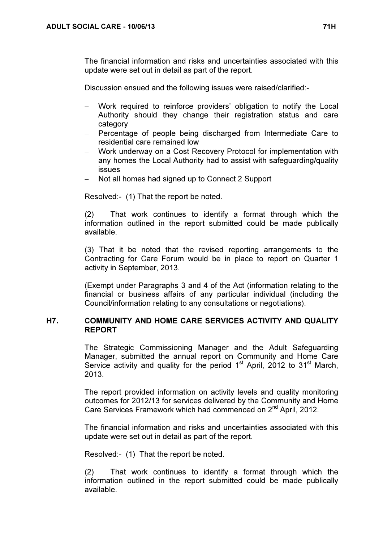The financial information and risks and uncertainties associated with this update were set out in detail as part of the report.

Discussion ensued and the following issues were raised/clarified:-

- − Work required to reinforce providers' obligation to notify the Local Authority should they change their registration status and care category
- − Percentage of people being discharged from Intermediate Care to residential care remained low
- − Work underway on a Cost Recovery Protocol for implementation with any homes the Local Authority had to assist with safeguarding/quality issues
- Not all homes had signed up to Connect 2 Support

Resolved:- (1) That the report be noted.

(2) That work continues to identify a format through which the information outlined in the report submitted could be made publically available.

(3) That it be noted that the revised reporting arrangements to the Contracting for Care Forum would be in place to report on Quarter 1 activity in September, 2013.

(Exempt under Paragraphs 3 and 4 of the Act (information relating to the financial or business affairs of any particular individual (including the Council/information relating to any consultations or negotiations).

### H7. COMMUNITY AND HOME CARE SERVICES ACTIVITY AND QUALITY REPORT

 The Strategic Commissioning Manager and the Adult Safeguarding Manager, submitted the annual report on Community and Home Care Service activity and quality for the period  $1<sup>st</sup>$  April, 2012 to 31 $<sup>st</sup>$  March,</sup> 2013.

The report provided information on activity levels and quality monitoring outcomes for 2012/13 for services delivered by the Community and Home Care Services Framework which had commenced on 2<sup>nd</sup> April, 2012.

The financial information and risks and uncertainties associated with this update were set out in detail as part of the report.

Resolved:- (1) That the report be noted.

(2) That work continues to identify a format through which the information outlined in the report submitted could be made publically available.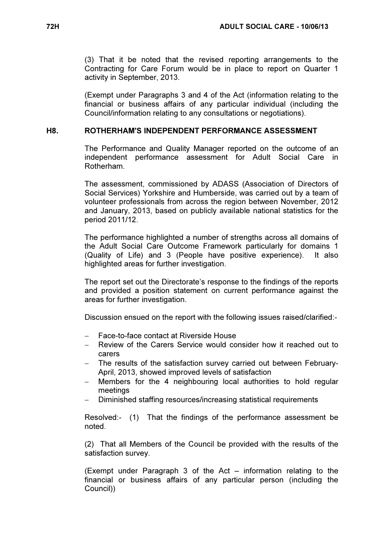(3) That it be noted that the revised reporting arrangements to the Contracting for Care Forum would be in place to report on Quarter 1 activity in September, 2013.

(Exempt under Paragraphs 3 and 4 of the Act (information relating to the financial or business affairs of any particular individual (including the Council/information relating to any consultations or negotiations).

### H8. ROTHERHAM'S INDEPENDENT PERFORMANCE ASSESSMENT

 The Performance and Quality Manager reported on the outcome of an independent performance assessment for Adult Social Care in Rotherham.

The assessment, commissioned by ADASS (Association of Directors of Social Services) Yorkshire and Humberside, was carried out by a team of volunteer professionals from across the region between November, 2012 and January, 2013, based on publicly available national statistics for the period 2011/12.

The performance highlighted a number of strengths across all domains of the Adult Social Care Outcome Framework particularly for domains 1 (Quality of Life) and 3 (People have positive experience). It also highlighted areas for further investigation.

The report set out the Directorate's response to the findings of the reports and provided a position statement on current performance against the areas for further investigation.

Discussion ensued on the report with the following issues raised/clarified:-

- − Face-to-face contact at Riverside House
- − Review of the Carers Service would consider how it reached out to carers
- − The results of the satisfaction survey carried out between February-April, 2013, showed improved levels of satisfaction
- − Members for the 4 neighbouring local authorities to hold regular meetings
- Diminished staffing resources/increasing statistical requirements

Resolved:- (1) That the findings of the performance assessment be noted.

(2) That all Members of the Council be provided with the results of the satisfaction survey.

(Exempt under Paragraph 3 of the Act – information relating to the financial or business affairs of any particular person (including the Council))